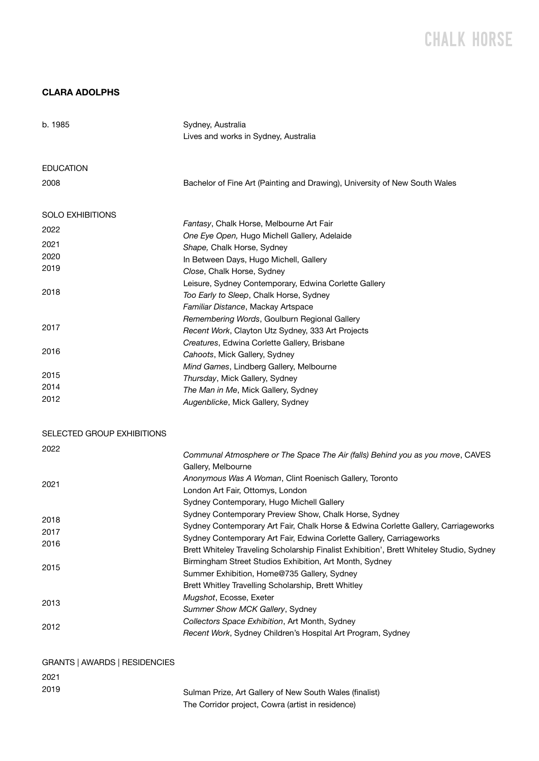# CHALK H0RSE

### **CLARA ADOLPHS**

| b. 1985                       | Sydney, Australia<br>Lives and works in Sydney, Australia                                                                                                                                        |
|-------------------------------|--------------------------------------------------------------------------------------------------------------------------------------------------------------------------------------------------|
| EDUCATION                     |                                                                                                                                                                                                  |
| 2008                          | Bachelor of Fine Art (Painting and Drawing), University of New South Wales                                                                                                                       |
| SOLO EXHIBITIONS              |                                                                                                                                                                                                  |
| 2022                          | Fantasy, Chalk Horse, Melbourne Art Fair                                                                                                                                                         |
| 2021                          | One Eye Open, Hugo Michell Gallery, Adelaide                                                                                                                                                     |
| 2020                          | Shape, Chalk Horse, Sydney                                                                                                                                                                       |
| 2019                          | In Between Days, Hugo Michell, Gallery                                                                                                                                                           |
|                               | Close, Chalk Horse, Sydney                                                                                                                                                                       |
| 2018                          | Leisure, Sydney Contemporary, Edwina Corlette Gallery<br>Too Early to Sleep, Chalk Horse, Sydney<br>Familiar Distance, Mackay Artspace                                                           |
| 2017                          | Remembering Words, Goulburn Regional Gallery<br>Recent Work, Clayton Utz Sydney, 333 Art Projects                                                                                                |
| 2016                          | Creatures, Edwina Corlette Gallery, Brisbane<br>Cahoots, Mick Gallery, Sydney<br>Mind Games, Lindberg Gallery, Melbourne                                                                         |
| 2015                          | Thursday, Mick Gallery, Sydney                                                                                                                                                                   |
| 2014                          | The Man in Me, Mick Gallery, Sydney                                                                                                                                                              |
| 2012                          | Augenblicke, Mick Gallery, Sydney                                                                                                                                                                |
| SELECTED GROUP EXHIBITIONS    |                                                                                                                                                                                                  |
| 2022                          | Communal Atmosphere or The Space The Air (falls) Behind you as you move, CAVES<br>Gallery, Melbourne                                                                                             |
| 2021                          | Anonymous Was A Woman, Clint Roenisch Gallery, Toronto<br>London Art Fair, Ottomys, London<br>Sydney Contemporary, Hugo Michell Gallery<br>Sydney Contemporary Preview Show, Chalk Horse, Sydney |
| 2018                          | Sydney Contemporary Art Fair, Chalk Horse & Edwina Corlette Gallery, Carriageworks                                                                                                               |
| 2017                          | Sydney Contemporary Art Fair, Edwina Corlette Gallery, Carriageworks                                                                                                                             |
| 2016                          | Brett Whiteley Traveling Scholarship Finalist Exhibition', Brett Whiteley Studio, Sydney<br>Birmingham Street Studios Exhibition, Art Month, Sydney                                              |
| 2015                          | Summer Exhibition, Home@735 Gallery, Sydney<br>Brett Whitley Travelling Scholarship, Brett Whitley                                                                                               |
| 2013                          | Mugshot, Ecosse, Exeter<br>Summer Show MCK Gallery, Sydney                                                                                                                                       |
| 2012                          | Collectors Space Exhibition, Art Month, Sydney<br>Recent Work, Sydney Children's Hospital Art Program, Sydney                                                                                    |
| GRANTS   AWARDS   RESIDENCIES |                                                                                                                                                                                                  |
| 2021                          |                                                                                                                                                                                                  |
| 2019                          | Sulman Prize, Art Gallery of New South Wales (finalist)<br>The Corridor project, Cowra (artist in residence)                                                                                     |